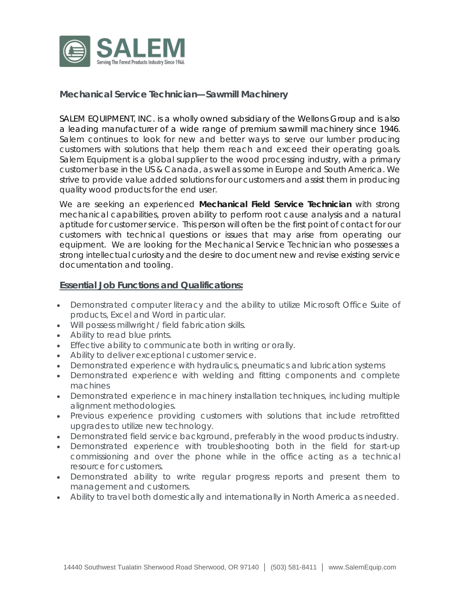

# **Mechanical Service Technician—Sawmill Machinery**

SALEM EQUIPMENT, INC. is a wholly owned subsidiary of the Wellons Group and is also a leading manufacturer of a wide range of premium sawmill machinery since 1946. Salem continues to look for new and better ways to serve our lumber producing customers with solutions that help them reach and exceed their operating goals. Salem Equipment is a global supplier to the wood processing industry, with a primary customer base in the US & Canada, as well as some in Europe and South America. We strive to provide value added solutions for our customers and assist them in producing quality wood products for the end user.

We are seeking an experienced **Mechanical Field Service Technician** with strong mechanical capabilities, proven ability to perform root cause analysis and a natural aptitude for customer service. This person will often be the first point of contact for our customers with technical questions or issues that may arise from operating our equipment. We are looking for the Mechanical Service Technician who possesses a strong intellectual curiosity and the desire to document new and revise existing service documentation and tooling.

### **Essential Job Functions and Qualifications:**

- Demonstrated computer literacy and the ability to utilize Microsoft Office Suite of products, Excel and Word in particular.
- Will possess millwright / field fabrication skills.
- Ability to read blue prints.
- Effective ability to communicate both in writing or orally.
- Ability to deliver exceptional customer service.
- Demonstrated experience with hydraulics, pneumatics and lubrication systems
- Demonstrated experience with welding and fitting components and complete machines
- Demonstrated experience in machinery installation techniques, including multiple alignment methodologies.
- Previous experience providing customers with solutions that include retrofitted upgrades to utilize new technology.
- Demonstrated field service background, preferably in the wood products industry.
- Demonstrated experience with troubleshooting both in the field for start-up commissioning and over the phone while in the office acting as a technical resource for customers.
- Demonstrated ability to write regular progress reports and present them to management and customers.
- Ability to travel both domestically and internationally in North America as needed.